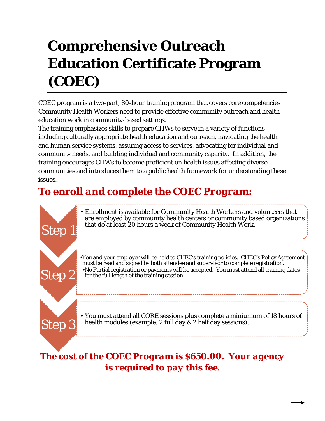## **Comprehensive Outreach Education Certificate Program (COEC)**

COEC program is a two-part, 80-hour training program that covers core competencies Community Health Workers need to provide effective community outreach and health education work in community-based settings.

The training emphasizes skills to prepare CHWs to serve in a variety of functions including culturally appropriate health education and outreach, navigating the health and human service systems, assuring access to services, advocating for individual and community needs, and building individual and community capacity. In addition, the training encourages CHWs to become proficient on health issues affecting diverse communities and introduces them to a public health framework for understanding these issues.

## *To enroll and complete the COEC Program:*



*is required to pay this fee.*